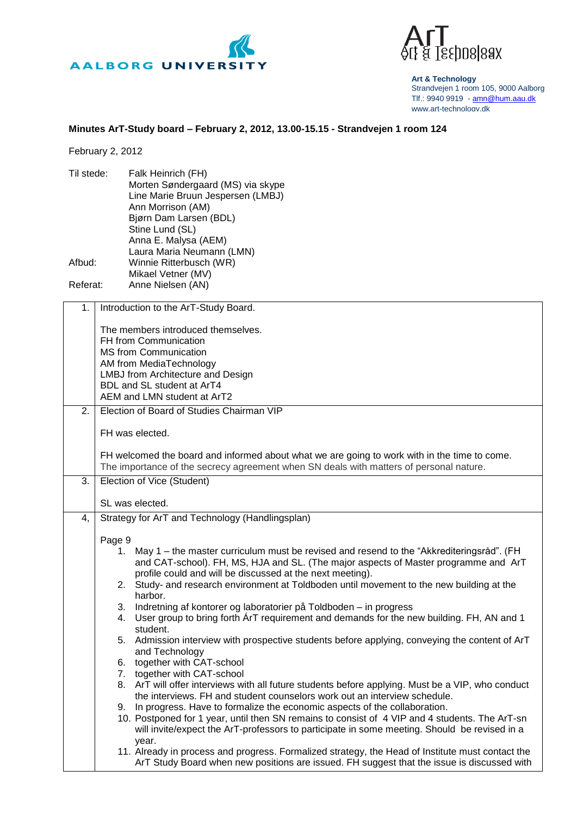



**Art & Technology** Strandvejen 1 room 105, 9000 Aalborg Tlf.: 9940 9919 - [amn@hum.aau.dk](mailto:amn@hum.aau.dk) www.art-technology.dk

## **Minutes ArT-Study board – February 2, 2012, 13.00-15.15 - Strandvejen 1 room 124**

February 2, 2012

| Til stede:                    | Falk Heinrich (FH)<br>Morten Søndergaard (MS) via skype<br>Line Marie Bruun Jespersen (LMBJ)<br>Ann Morrison (AM)<br>Bjørn Dam Larsen (BDL)<br>Stine Lund (SL)<br>Anna E. Malysa (AEM)<br>Laura Maria Neumann (LMN)                                                                                                                                                                                                                             |  |
|-------------------------------|-------------------------------------------------------------------------------------------------------------------------------------------------------------------------------------------------------------------------------------------------------------------------------------------------------------------------------------------------------------------------------------------------------------------------------------------------|--|
| Afbud:                        | Winnie Ritterbusch (WR)<br>Mikael Vetner (MV)                                                                                                                                                                                                                                                                                                                                                                                                   |  |
| Referat:<br>Anne Nielsen (AN) |                                                                                                                                                                                                                                                                                                                                                                                                                                                 |  |
| 1.                            | Introduction to the ArT-Study Board.                                                                                                                                                                                                                                                                                                                                                                                                            |  |
|                               | The members introduced themselves.<br>FH from Communication<br><b>MS from Communication</b><br>AM from MediaTechnology<br><b>LMBJ</b> from Architecture and Design<br>BDL and SL student at ArT4<br>AEM and LMN student at ArT2                                                                                                                                                                                                                 |  |
| 2.                            | Election of Board of Studies Chairman VIP                                                                                                                                                                                                                                                                                                                                                                                                       |  |
|                               | FH was elected.                                                                                                                                                                                                                                                                                                                                                                                                                                 |  |
|                               | FH welcomed the board and informed about what we are going to work with in the time to come.<br>The importance of the secrecy agreement when SN deals with matters of personal nature.                                                                                                                                                                                                                                                          |  |
| 3.                            | Election of Vice (Student)                                                                                                                                                                                                                                                                                                                                                                                                                      |  |
|                               | SL was elected.                                                                                                                                                                                                                                                                                                                                                                                                                                 |  |
| 4,                            | Strategy for ArT and Technology (Handlingsplan)                                                                                                                                                                                                                                                                                                                                                                                                 |  |
|                               | Page 9<br>1. May 1 – the master curriculum must be revised and resend to the "Akkrediteringsråd". (FH<br>and CAT-school). FH, MS, HJA and SL. (The major aspects of Master programme and ArT<br>profile could and will be discussed at the next meeting).<br>Study- and research environment at Toldboden until movement to the new building at the<br>2.<br>harbor.<br>Indretning af kontorer og laboratorier på Toldboden - in progress<br>3. |  |
|                               | User group to bring forth ArT requirement and demands for the new building. FH, AN and 1<br>4.<br>student.                                                                                                                                                                                                                                                                                                                                      |  |
|                               | 5. Admission interview with prospective students before applying, conveying the content of ArT<br>and Technology<br>6. together with CAT-school<br>7. together with CAT-school                                                                                                                                                                                                                                                                  |  |
|                               | 8. ArT will offer interviews with all future students before applying. Must be a VIP, who conduct<br>the interviews. FH and student counselors work out an interview schedule.<br>In progress. Have to formalize the economic aspects of the collaboration.<br>9.<br>10. Postponed for 1 year, until then SN remains to consist of 4 VIP and 4 students. The ArT-sn                                                                             |  |

will invite/expect the ArT-professors to participate in some meeting. Should be revised in a year. 11. Already in process and progress. Formalized strategy, the Head of Institute must contact the

ArT Study Board when new positions are issued. FH suggest that the issue is discussed with